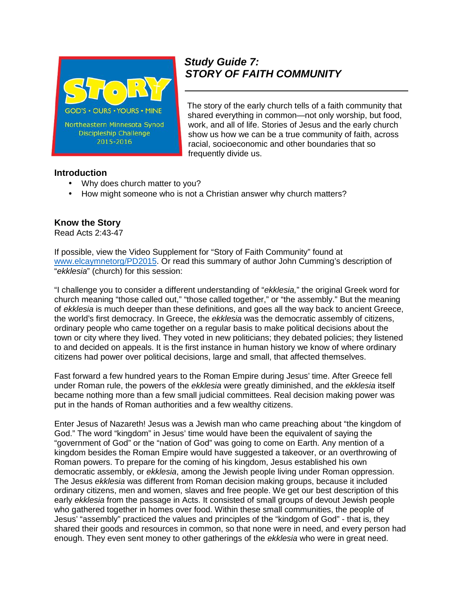

# *Study Guide 7: STORY OF FAITH COMMUNITY*

The story of the early church tells of a faith community that shared everything in common—not only worship, but food, work, and all of life. Stories of Jesus and the early church show us how we can be a true community of faith, across racial, socioeconomic and other boundaries that so frequently divide us.

#### **Introduction**

- Why does church matter to you?
- How might someone who is not a Christian answer why church matters?

## **Know the Story**

Read Acts 2:43-47

If possible, view the Video Supplement for "Story of Faith Community" found at www.elcaymnetorg/PD2015. Or read this summary of author John Cumming's description of "*ekklesia*" (church) for this session:

"I challenge you to consider a different understanding of "*ekklesia,*" the original Greek word for church meaning "those called out," "those called together," or "the assembly." But the meaning of *ekklesia* is much deeper than these definitions, and goes all the way back to ancient Greece, the world's first democracy. In Greece, the *ekklesia* was the democratic assembly of citizens, ordinary people who came together on a regular basis to make political decisions about the town or city where they lived. They voted in new politicians; they debated policies; they listened to and decided on appeals. It is the first instance in human history we know of where ordinary citizens had power over political decisions, large and small, that affected themselves.

Fast forward a few hundred years to the Roman Empire during Jesus' time. After Greece fell under Roman rule, the powers of the *ekklesia* were greatly diminished, and the *ekklesia* itself became nothing more than a few small judicial committees. Real decision making power was put in the hands of Roman authorities and a few wealthy citizens.

Enter Jesus of Nazareth! Jesus was a Jewish man who came preaching about "the kingdom of God." The word "kingdom" in Jesus' time would have been the equivalent of saying the "government of God" or the "nation of God" was going to come on Earth. Any mention of a kingdom besides the Roman Empire would have suggested a takeover, or an overthrowing of Roman powers. To prepare for the coming of his kingdom, Jesus established his own democratic assembly, or *ekklesia*, among the Jewish people living under Roman oppression. The Jesus *ekklesia* was different from Roman decision making groups, because it included ordinary citizens, men and women, slaves and free people. We get our best description of this early *ekklesia* from the passage in Acts. It consisted of small groups of devout Jewish people who gathered together in homes over food. Within these small communities, the people of Jesus' "assembly" practiced the values and principles of the "kindgom of God" - that is, they shared their goods and resources in common, so that none were in need, and every person had enough. They even sent money to other gatherings of the *ekklesia* who were in great need.